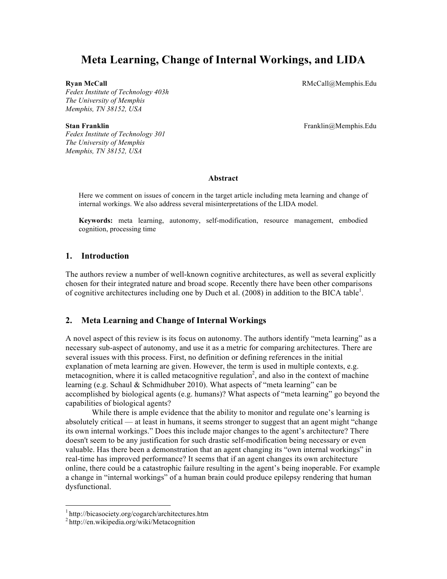# **Meta Learning, Change of Internal Workings, and LIDA**

*Fedex Institute of Technology 403h The University of Memphis Memphis, TN 38152, USA*

**Ryan McCall** RMcCall **RMcCall** RMcCall **RMcCall RMcCall RMcCall RMcCall RMcCall RMcCall RMcCall RMcCall RMcCall RMcCall RMcCall RMcCall RMcCall RMcCall RMcCall** *RMcCall RMcCall RMcCal* 

*Fedex Institute of Technology 301 The University of Memphis Memphis, TN 38152, USA*

**Stan Franklin** Franklin@Memphis.Edu

#### **Abstract**

Here we comment on issues of concern in the target article including meta learning and change of internal workings. We also address several misinterpretations of the LIDA model.

**Keywords:** meta learning, autonomy, self-modification, resource management, embodied cognition, processing time

## **1. Introduction**

The authors review a number of well-known cognitive architectures, as well as several explicitly chosen for their integrated nature and broad scope. Recently there have been other comparisons of cognitive architectures including one by Duch et al.  $(2008)$  in addition to the BICA table<sup>1</sup>.

## **2. Meta Learning and Change of Internal Workings**

A novel aspect of this review is its focus on autonomy. The authors identify "meta learning" as a necessary sub-aspect of autonomy, and use it as a metric for comparing architectures. There are several issues with this process. First, no definition or defining references in the initial explanation of meta learning are given. However, the term is used in multiple contexts, e.g.  $metacognition$ , where it is called metacognitive regulation<sup>2</sup>, and also in the context of machine learning (e.g. Schaul & Schmidhuber 2010). What aspects of "meta learning" can be accomplished by biological agents (e.g. humans)? What aspects of "meta learning" go beyond the capabilities of biological agents?

While there is ample evidence that the ability to monitor and regulate one's learning is absolutely critical — at least in humans, it seems stronger to suggest that an agent might "change its own internal workings." Does this include major changes to the agent's architecture? There doesn't seem to be any justification for such drastic self-modification being necessary or even valuable. Has there been a demonstration that an agent changing its "own internal workings" in real-time has improved performance? It seems that if an agent changes its own architecture online, there could be a catastrophic failure resulting in the agent's being inoperable. For example a change in "internal workings" of a human brain could produce epilepsy rendering that human dysfunctional.

 <sup>1</sup> http://bicasociety.org/cogarch/architectures.htm

<sup>2</sup> http://en.wikipedia.org/wiki/Metacognition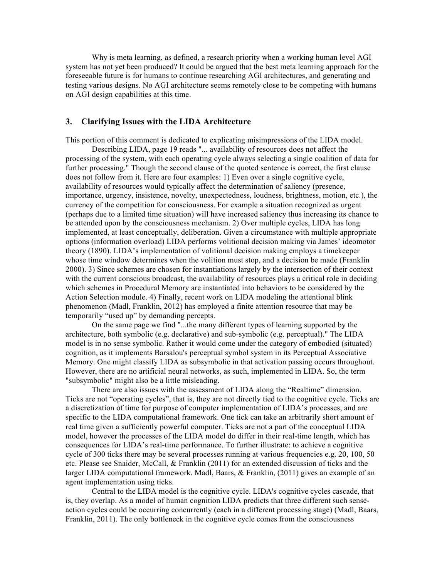Why is meta learning, as defined, a research priority when a working human level AGI system has not yet been produced? It could be argued that the best meta learning approach for the foreseeable future is for humans to continue researching AGI architectures, and generating and testing various designs. No AGI architecture seems remotely close to be competing with humans on AGI design capabilities at this time.

## **3. Clarifying Issues with the LIDA Architecture**

This portion of this comment is dedicated to explicating misimpressions of the LIDA model.

Describing LIDA, page 19 reads "... availability of resources does not affect the processing of the system, with each operating cycle always selecting a single coalition of data for further processing." Though the second clause of the quoted sentence is correct, the first clause does not follow from it. Here are four examples: 1) Even over a single cognitive cycle, availability of resources would typically affect the determination of saliency (presence, importance, urgency, insistence, novelty, unexpectedness, loudness, brightness, motion, etc.), the currency of the competition for consciousness. For example a situation recognized as urgent (perhaps due to a limited time situation) will have increased saliency thus increasing its chance to be attended upon by the consciousness mechanism. 2) Over multiple cycles, LIDA has long implemented, at least conceptually, deliberation. Given a circumstance with multiple appropriate options (information overload) LIDA performs volitional decision making via James' ideomotor theory (1890). LIDA's implementation of volitional decision making employs a timekeeper whose time window determines when the volition must stop, and a decision be made (Franklin 2000). 3) Since schemes are chosen for instantiations largely by the intersection of their context with the current conscious broadcast, the availability of resources plays a critical role in deciding which schemes in Procedural Memory are instantiated into behaviors to be considered by the Action Selection module. 4) Finally, recent work on LIDA modeling the attentional blink phenomenon (Madl, Franklin, 2012) has employed a finite attention resource that may be temporarily "used up" by demanding percepts.

On the same page we find "...the many different types of learning supported by the architecture, both symbolic (e.g. declarative) and sub-symbolic (e.g. perceptual)." The LIDA model is in no sense symbolic. Rather it would come under the category of embodied (situated) cognition, as it implements Barsalou's perceptual symbol system in its Perceptual Associative Memory. One might classify LIDA as subsymbolic in that activation passing occurs throughout. However, there are no artificial neural networks, as such, implemented in LIDA. So, the term "subsymbolic" might also be a little misleading.

There are also issues with the assessment of LIDA along the "Realtime" dimension. Ticks are not "operating cycles", that is, they are not directly tied to the cognitive cycle. Ticks are a discretization of time for purpose of computer implementation of LIDA's processes, and are specific to the LIDA computational framework. One tick can take an arbitrarily short amount of real time given a sufficiently powerful computer. Ticks are not a part of the conceptual LIDA model, however the processes of the LIDA model do differ in their real-time length, which has consequences for LIDA's real-time performance. To further illustrate: to achieve a cognitive cycle of 300 ticks there may be several processes running at various frequencies e.g. 20, 100, 50 etc. Please see Snaider, McCall, & Franklin (2011) for an extended discussion of ticks and the larger LIDA computational framework. Madl, Baars, & Franklin, (2011) gives an example of an agent implementation using ticks.

Central to the LIDA model is the cognitive cycle. LIDA's cognitive cycles cascade, that is, they overlap. As a model of human cognition LIDA predicts that three different such senseaction cycles could be occurring concurrently (each in a different processing stage) (Madl, Baars, Franklin, 2011). The only bottleneck in the cognitive cycle comes from the consciousness